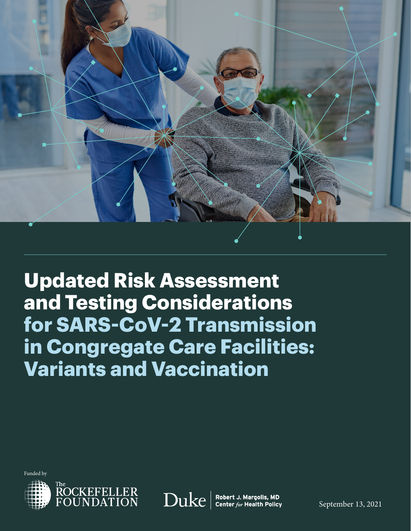

**Updated Risk Assessment and Testing Considerations for SARS-CoV-2 Transmission in Congregate Care Facilities: Variants and Vaccination**







 $\bf{Duke} \,|\,$ Robert J. Margolis, MD<br>Center *for* Health Policy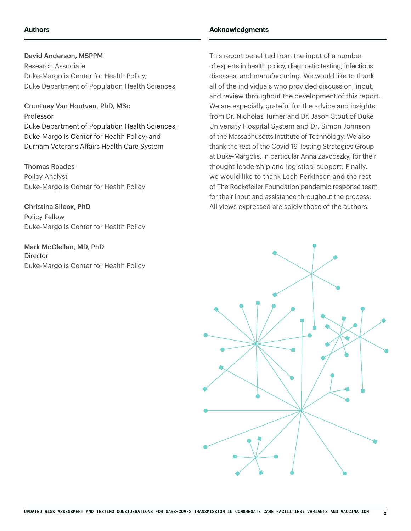#### **Authors**

#### David Anderson, MSPPM Research Associate Duke-Margolis Center for Health Policy; Duke Department of Population Health Sciences

Courtney Van Houtven, PhD, MSc Professor Duke Department of Population Health Sciences; Duke-Margolis Center for Health Policy; and Durham Veterans Affairs Health Care System

Thomas Roades Policy Analyst Duke-Margolis Center for Health Policy

Christina Silcox, PhD Policy Fellow Duke-Margolis Center for Health Policy

Mark McClellan, MD, PhD Director Duke-Margolis Center for Health Policy

#### **Acknowledgments**

This report benefited from the input of a number of experts in health policy, diagnostic testing, infectious diseases, and manufacturing. We would like to thank all of the individuals who provided discussion, input, and review throughout the development of this report. We are especially grateful for the advice and insights from Dr. Nicholas Turner and Dr. Jason Stout of Duke University Hospital System and Dr. Simon Johnson of the Massachusetts Institute of Technology. We also thank the rest of the Covid-19 Testing Strategies Group at Duke-Margolis, in particular Anna Zavodszky, for their thought leadership and logistical support. Finally, we would like to thank Leah Perkinson and the rest of The Rockefeller Foundation pandemic response team for their input and assistance throughout the process. All views expressed are solely those of the authors.

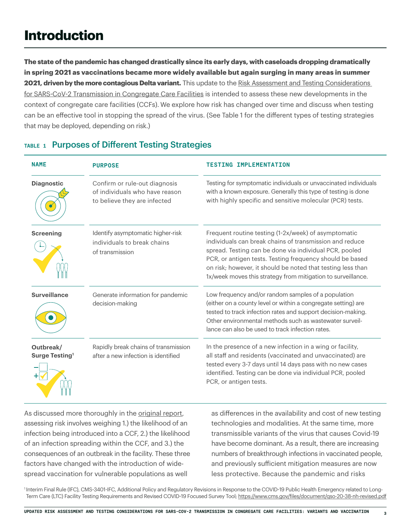## **Introduction**

**The state of the pandemic has changed drastically since its early days, with caseloads dropping dramatically in spring 2021 as vaccinations became more widely available but again surging in many areas in summer 2021, driven by the more contagious Delta variant.** This update to the [Risk Assessment and Testing Considerations](https://www.rockefellerfoundation.org/report/risk-assessment-and-testing-considerations-for-sars-cov-2-transmission-in-congregate-care-facilities/)  [for SARS-CoV-2 Transmission in Congregate Care Facilities](https://www.rockefellerfoundation.org/report/risk-assessment-and-testing-considerations-for-sars-cov-2-transmission-in-congregate-care-facilities/) is intended to assess these new developments in the context of congregate care facilities (CCFs). We explore how risk has changed over time and discuss when testing can be an effective tool in stopping the spread of the virus. (See Table 1 for the different types of testing strategies that may be deployed, depending on risk.)

| <b>NAME</b>                             | <b>PURPOSE</b>                                                                                  | <b>TESTING IMPLEMENTATION</b>                                                                                                                                                                                                                                                                                                                                        |
|-----------------------------------------|-------------------------------------------------------------------------------------------------|----------------------------------------------------------------------------------------------------------------------------------------------------------------------------------------------------------------------------------------------------------------------------------------------------------------------------------------------------------------------|
| <b>Diagnostic</b>                       | Confirm or rule-out diagnosis<br>of individuals who have reason<br>to believe they are infected | Testing for symptomatic individuals or unvaccinated individuals<br>with a known exposure. Generally this type of testing is done<br>with highly specific and sensitive molecular (PCR) tests.                                                                                                                                                                        |
| <b>Screening</b>                        | Identify asymptomatic higher-risk<br>individuals to break chains<br>of transmission             | Frequent routine testing (1-2x/week) of asymptomatic<br>individuals can break chains of transmission and reduce<br>spread. Testing can be done via individual PCR, pooled<br>PCR, or antigen tests. Testing frequency should be based<br>on risk; however, it should be noted that testing less than<br>1x/week moves this strategy from mitigation to surveillance. |
| <b>Surveillance</b>                     | Generate information for pandemic<br>decision-making                                            | Low frequency and/or random samples of a population<br>(either on a county level or within a congregate setting) are<br>tested to track infection rates and support decision-making.<br>Other environmental methods such as wastewater surveil-<br>lance can also be used to track infection rates.                                                                  |
| Outbreak/<br>Surge Testing <sup>1</sup> | Rapidly break chains of transmission<br>after a new infection is identified                     | In the presence of a new infection in a wing or facility,<br>all staff and residents (vaccinated and unvaccinated) are<br>tested every 3-7 days until 14 days pass with no new cases<br>identified. Testing can be done via individual PCR, pooled<br>PCR, or antigen tests.                                                                                         |

#### **TABLE 1** Purposes of Different Testing Strategies

As discussed more thoroughly in the [original report](https://www.rockefellerfoundation.org/report/risk-assessment-and-testing-considerations-for-sars-cov-2-transmission-in-congregate-care-facilities/), assessing risk involves weighing 1.) the likelihood of an infection being introduced into a CCF, 2.) the likelihood of an infection spreading within the CCF, and 3.) the consequences of an outbreak in the facility. These three factors have changed with the introduction of widespread vaccination for vulnerable populations as well

as differences in the availability and cost of new testing technologies and modalities. At the same time, more transmissible variants of the virus that causes Covid-19 have become dominant. As a result, there are increasing numbers of breakthrough infections in vaccinated people, and previously sufficient mitigation measures are now less protective. Because the pandemic and risks

<sup>1</sup>Interim Final Rule (IFC), CMS-3401-IFC, Additional Policy and Regulatory Revisions in Response to the COVID-19 Public Health Emergency related to LongTerm Care (LTC) Facility Testing Requirements and Revised COVID-19 Focused Survey Tool;<https://www.cms.gov/files/document/qso-20-38-nh-revised.pdf>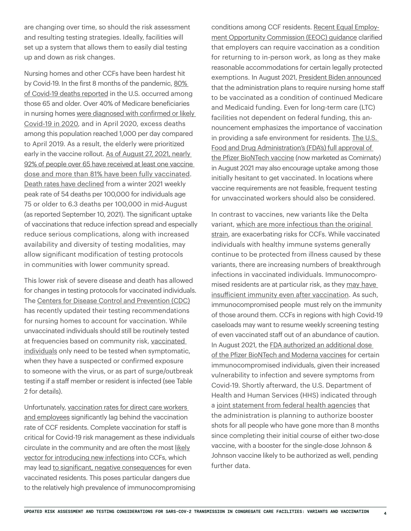are changing over time, so should the risk assessment and resulting testing strategies. Ideally, facilities will set up a system that allows them to easily dial testing up and down as risk changes.

Nursing homes and other CCFs have been hardest hit by Covid-19. In the first 8 months of the pandemic, [80%](https://www.aarp.org/health/conditions-treatments/info-2020/coronavirus-deaths-older-adults.html)  [of Covid-19 deaths reported](https://www.aarp.org/health/conditions-treatments/info-2020/coronavirus-deaths-older-adults.html) in the U.S. occurred among those 65 and older. Over 40% of Medicare beneficiaries in nursing homes were diagnosed with confirmed or likely [Covid-19 in 2020](https://oig.hhs.gov/oei/reports/OEI-02-20-00490.asp), and in April 2020, excess deaths among this population reached 1,000 per day compared to April 2019. As a result, the elderly were prioritized early in the vaccine rollout. [As of August 27, 2021, nearly](https://covid.cdc.gov/covid-data-tracker/#vaccinations_vacc-total-admin-rate-total)  [92% of people over 65 have received at least one vaccine](https://covid.cdc.gov/covid-data-tracker/#vaccinations_vacc-total-admin-rate-total)  [dose and more than 81% have been fully vaccinated.](https://covid.cdc.gov/covid-data-tracker/#vaccinations_vacc-total-admin-rate-total) [Death rates have declined](https://covid.cdc.gov/covid-data-tracker/#demographicsovertime) from a winter 2021 weekly peak rate of 54 deaths per 100,000 for individuals age 75 or older to 6.3 deaths per 100,000 in mid-August (as reported September 10, 2021). The significant uptake of vaccinations that reduce infection spread and especially reduce serious complications, along with increased availability and diversity of testing modalities, may allow significant modification of testing protocols in communities with lower community spread.

This lower risk of severe disease and death has allowed for changes in testing protocols for vaccinated individuals. The [Centers for Disease Control and Prevention](https://www.cdc.gov/coronavirus/2019-ncov/hcp/infection-control-after-vaccination.html#anchor_1619116637758) (CDC) has recently updated their testing recommendations for nursing homes to account for vaccination. While unvaccinated individuals should still be routinely tested at frequencies based on community risk, [vaccinated](https://www.cdc.gov/coronavirus/2019-ncov/vaccines/fully-vaccinated-guidance.html)  [individuals](https://www.cdc.gov/coronavirus/2019-ncov/vaccines/fully-vaccinated-guidance.html) only need to be tested when symptomatic, when they have a suspected or confirmed exposure to someone with the virus, or as part of surge/outbreak testing if a staff member or resident is infected (see Table 2 for details).

Unfortunately, [vaccination rates for direct care workers](https://data.cms.gov/stories/s/COVID-19-Nursing-Home-Data/bkwz-xpvg)  [and employees](https://data.cms.gov/stories/s/COVID-19-Nursing-Home-Data/bkwz-xpvg) significantly lag behind the vaccination rate of CCF residents. Complete vaccination for staff is critical for Covid-19 risk management as these individuals circulate in the community and are often the most [likely](https://www.aarp.org/caregiving/health/info-2021/nursing-home-worker-sparks-covid-outbreak.html) [vector for introducing new infections](https://www.aarp.org/caregiving/health/info-2021/nursing-home-worker-sparks-covid-outbreak.html) into CCFs, which may lead [to significant, negative consequences](https://www.duluthnewstribune.com/newsmd/coronavirus/7133868-This-South-Dakota-nursing-home-was-100-vaccinated.-COVID-19-broke-through-anyway) for even vaccinated residents. This poses particular dangers due to the relatively high prevalence of immunocompromising conditions among CCF residents. [Recent Equal Employ](https://www.eeoc.gov/newsroom/eeoc-issues-updated-covid-19-technical-assistance)[ment Opportunity Commission \(EEOC\) guidance](https://www.eeoc.gov/newsroom/eeoc-issues-updated-covid-19-technical-assistance) clarified that employers can require vaccination as a condition for returning to in-person work, as long as they make reasonable accommodations for certain legally protected exemptions. In August 2021, [President Biden announced](https://revcycleintelligence.com/news/nursing-home-staff-must-get-vaccinated-or-risk-medicare-funding) that the administration plans to require nursing home staff to be vaccinated as a condition of continued Medicare and Medicaid funding. Even for long-term care (LTC) facilities not dependent on federal funding, this announcement emphasizes the importance of vaccination in providing a safe environment for residents. [The U.S.](https://www.fda.gov/news-events/press-announcements/fda-approves-first-covid-19-vaccine)  [Food and Drug Administration's \(FDA's\) full approval of](https://www.fda.gov/news-events/press-announcements/fda-approves-first-covid-19-vaccine)  [the Pfizer BioNTech vaccine](https://www.fda.gov/news-events/press-announcements/fda-approves-first-covid-19-vaccine) (now marketed as Comirnaty) in August 2021 may also encourage uptake among those initially hesitant to get vaccinated. In locations where vaccine requirements are not feasible, frequent testing for unvaccinated workers should also be considered.

In contrast to vaccines, new variants like the Delta variant, [which are more infectious than the original](https://www.thelancet.com/journals/lancet/article/PIIS0140-6736(21)01358-1/fulltext)  [strain,](https://www.thelancet.com/journals/lancet/article/PIIS0140-6736(21)01358-1/fulltext) are exacerbating risks for CCFs. While vaccinated individuals with healthy immune systems generally continue to be protected from illness caused by these variants, there are increasing numbers of breakthrough infections in vaccinated individuals. Immunocompromised residents are at particular risk, as they [may have](https://jamanetwork.com/journals/jama/fullarticle/2779852)  [insufficient immunity even after vaccination.](https://jamanetwork.com/journals/jama/fullarticle/2779852) As such, immunocompromised people must rely on the immunity of those around them. CCFs in regions with high Covid-19 caseloads may want to resume weekly screening testing of even vaccinated staff out of an abundance of caution. In August 2021, the [FDA authorized an additional dose](https://www.fda.gov/news-events/press-announcements/coronavirus-covid-19-update-fda-authorizes-additional-vaccine-dose-certain-immunocompromised)  [of the Pfizer BioNTech and Moderna vaccines](https://www.fda.gov/news-events/press-announcements/coronavirus-covid-19-update-fda-authorizes-additional-vaccine-dose-certain-immunocompromised) for certain immunocompromised individuals, given their increased vulnerability to infection and severe symptoms from Covid-19. Shortly afterward, the U.S. Department of Health and Human Services (HHS) indicated through a [joint statement from federal health agencies](https://www.hhs.gov/about/news/2021/08/18/joint-statement-hhs-public-health-and-medical-experts-covid-19-booster-shots.html) that the administration is planning to authorize booster shots for all people who have gone more than 8 months since completing their initial course of either two-dose vaccine, with a booster for the single-dose Johnson & Johnson vaccine likely to be authorized as well, pending further data.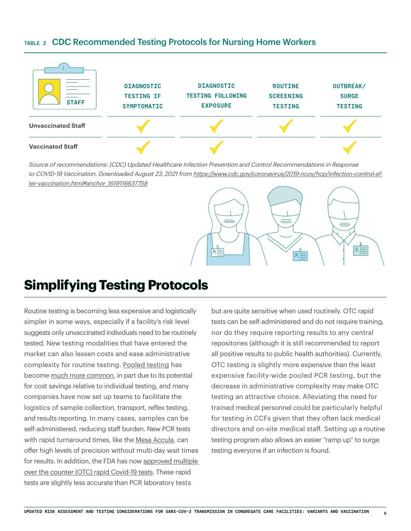#### **TABLE 2** CDC Recommended Testing Protocols for Nursing Home Workers

| <b>STAFF</b>              | <b>DIAGNOSTIC</b><br><b>TESTING IF</b><br><b>SYMPTOMATIC</b> | <b>DIAGNOSTIC</b><br><b>TESTING FOLLOWING</b><br><b>EXPOSURE</b> | <b>ROUTINE</b><br><b>SCREENING</b><br><b>TESTING</b> | OUTBREAK/<br><b>SURGE</b><br><b>TESTING</b> |
|---------------------------|--------------------------------------------------------------|------------------------------------------------------------------|------------------------------------------------------|---------------------------------------------|
| <b>Unvaccinated Staff</b> |                                                              |                                                                  |                                                      |                                             |
| <b>Vaccinated Staff</b>   |                                                              |                                                                  |                                                      |                                             |

Source of recommendations: (CDC) Updated Healthcare Infection Prevention and Control Recommendations in Response to COVID-19 Vaccination. Downloaded August 23, 2021 from [https://www.cdc.gov/coronavirus/2019-ncov/hcp/infection-control-af](https://www.cdc.gov/coronavirus/2019-ncov/hcp/infection-control-after-vaccination.html#anchor_1619116637758)[ter-vaccination.html#anchor\\_1619116637758](https://www.cdc.gov/coronavirus/2019-ncov/hcp/infection-control-after-vaccination.html#anchor_1619116637758)

# $A \equiv$

## **Simplifying Testing Protocols**

Routine testing is becoming less expensive and logistically simpler in some ways, especially if a facility's risk level suggests only unvaccinated individuals need to be routinely tested. New testing modalities that have entered the market can also lessen costs and ease administrative complexity for routine testing. [Pooled testing](https://www.cdc.gov/coronavirus/2019-ncov/lab/pooling-procedures.html) has become [much more common](https://www.verywellhealth.com/pooled-testing-covid-19-school-work-5118444), in part due to its potential for cost savings relative to individual testing, and many companies have now set up teams to facilitate the logistics of sample collection, transport, reflex testing, and results reporting. In many cases, samples can be self-administered, reducing staff burden. New PCR tests with rapid turnaround times, like the [Mesa Accula,](https://www.mesabiotech.com/) can offer high levels of precision without multi-day wait times for results. In addition, the FDA has now [approved multiple](https://www.fda.gov/news-events/press-announcements/coronavirus-covid-19-update-fda-continues-advance-over-counter-and-other-screening-test-development)  [over the counter \(OTC\) rapid Covid-19 tests](https://www.fda.gov/news-events/press-announcements/coronavirus-covid-19-update-fda-continues-advance-over-counter-and-other-screening-test-development). These rapid tests are slightly less accurate than PCR laboratory tests

but are quite sensitive when used routinely. OTC rapid tests can be self-administered and do not require training, nor do they require reporting results to any central repositories (although it is still recommended to report all positive results to public health authorities). Currently, OTC testing is slightly more expensive than the least expensive facility-wide pooled PCR testing, but the decrease in administrative complexity may make OTC testing an attractive choice. Alleviating the need for trained medical personnel could be particularly helpful for testing in CCFs given that they often lack medical directors and on-site medical staff. Setting up a routine testing program also allows an easier "ramp up" to surge testing everyone if an infection is found.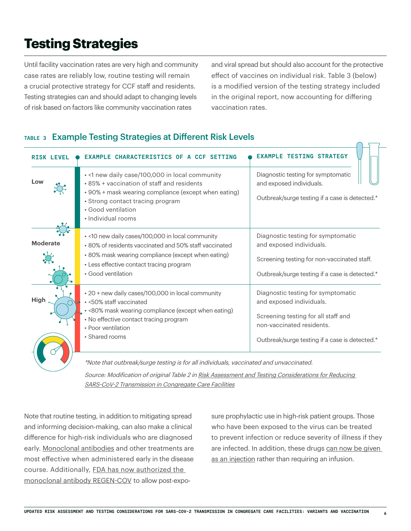# **Testing Strategies**

Until facility vaccination rates are very high and community case rates are reliably low, routine testing will remain a crucial protective strategy for CCF staff and residents. Testing strategies can and should adapt to changing levels of risk based on factors like community vaccination rates

and viral spread but should also account for the protective effect of vaccines on individual risk. Table 3 (below) is a modified version of the testing strategy included in the original report, now accounting for differing vaccination rates.

#### **TABLE 3** Example Testing Strategies at Different Risk Levels

| <b>RISK LEVEL</b> | EXAMPLE CHARACTERISTICS OF A CCF SETTING                                                                                                                                                                                              | <b>EXAMPLE TESTING STRATEGY</b>                                                                                                                                                      |  |  |  |
|-------------------|---------------------------------------------------------------------------------------------------------------------------------------------------------------------------------------------------------------------------------------|--------------------------------------------------------------------------------------------------------------------------------------------------------------------------------------|--|--|--|
| Low               | . < 1 new daily case/100,000 in local community<br>• 85% + vaccination of staff and residents<br>• 90% + mask wearing compliance (except when eating)<br>• Strong contact tracing program<br>• Good ventilation<br>· Individual rooms | Diagnostic testing for symptomatic<br>and exposed individuals.<br>Outbreak/surge testing if a case is detected.*                                                                     |  |  |  |
| <b>Moderate</b>   | · <10 new daily cases/100,000 in local community<br>• 80% of residents vaccinated and 50% staff vaccinated<br>• 80% mask wearing compliance (except when eating)<br>• Less effective contact tracing program<br>• Good ventilation    | Diagnostic testing for symptomatic<br>and exposed individuals.<br>Screening testing for non-vaccinated staff.<br>Outbreak/surge testing if a case is detected.*                      |  |  |  |
| <b>High</b>       | • 20 + new daily cases/100,000 in local community<br>· <50% staff vaccinated<br>· <80% mask wearing compliance (except when eating)<br>• No effective contact tracing program<br>• Poor ventilation<br>• Shared rooms                 | Diagnostic testing for symptomatic<br>and exposed individuals.<br>Screening testing for all staff and<br>non-vaccinated residents.<br>Outbreak/surge testing if a case is detected.* |  |  |  |
|                   | to that outproof why a teating is fax all individuals, usesipated and unuscainstad                                                                                                                                                    |                                                                                                                                                                                      |  |  |  |

\*Note that outbreak/surge testing is for all individuals, vaccinated and unvaccinated. Source: Modification of original Table 2 in [Risk Assessment and Testing Considerations for Reducing](https://healthpolicy.duke.edu/publications/risk-assessment-and-testing-considerations-reducing-sars-cov-2-transmission-congregate)  [SARS-CoV-2 Transmission in Congregate Care Facilities](https://healthpolicy.duke.edu/publications/risk-assessment-and-testing-considerations-reducing-sars-cov-2-transmission-congregate)

Note that routine testing, in addition to mitigating spread and informing decision-making, can also make a clinical difference for high-risk individuals who are diagnosed early. [Monoclonal antibodies](https://healthpolicy.duke.edu/publications/promising-practices-promoting-utilization-covid-19-monoclonal-antibody-treatments) and other treatments are most effective when administered early in the disease course. Additionally, [FDA has now authorized the](https://www.fda.gov/drugs/drug-safety-and-availability/fda-authorizes-regen-cov-monoclonal-antibody-therapy-post-exposure-prophylaxis-prevention-covid-19)  [monoclonal antibody REGEN-COV](https://www.fda.gov/drugs/drug-safety-and-availability/fda-authorizes-regen-cov-monoclonal-antibody-therapy-post-exposure-prophylaxis-prevention-covid-19) to allow post-exposure prophylactic use in high-risk patient groups. Those who have been exposed to the virus can be treated to prevent infection or reduce severity of illness if they are infected. In addition, these drugs [can now be given](https://www.wsj.com/articles/regenerons-covid-19-drug-is-authorized-for-injection-11622804402)  [as an injection](https://www.wsj.com/articles/regenerons-covid-19-drug-is-authorized-for-injection-11622804402) rather than requiring an infusion.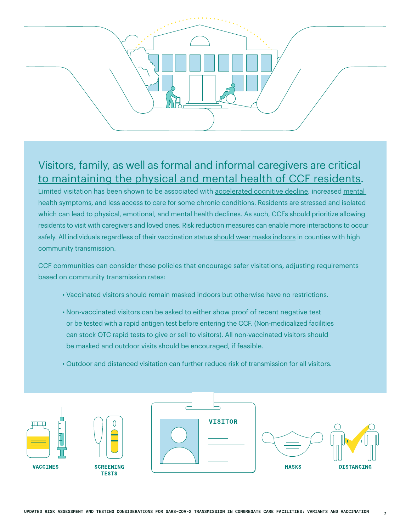

### Visitors, family, as well as formal and informal caregivers are [critical](https://www.nytimes.com/live/2021/03/10/world/covid-19-coronavirus) [to maintaining the physical and mental health of CCF residents](https://www.nytimes.com/live/2021/03/10/world/covid-19-coronavirus).

Limited visitation has been shown to be associated with [accelerated cognitive decline,](https://pubmed.ncbi.nlm.nih.gov/33816709/) increased [mental](https://pubmed.ncbi.nlm.nih.gov/34156467/)  [health symptoms](https://pubmed.ncbi.nlm.nih.gov/34156467/), and [less access to care](https://pubmed.ncbi.nlm.nih.gov/34091465/) for some chronic conditions. Residents are [stressed and isolated](https://pubmed.ncbi.nlm.nih.gov/33240129/) which can lead to physical, emotional, and mental health declines. As such, CCFs should prioritize allowing residents to visit with caregivers and loved ones. Risk reduction measures can enable more interactions to occur safely. All individuals regardless of their vaccination status [should wear masks indoors](https://www.cdc.gov/coronavirus/2019-ncov/vaccines/fully-vaccinated.html) in counties with high community transmission.

CCF communities can consider these policies that encourage safer visitations, adjusting requirements based on community transmission rates:

- Vaccinated visitors should remain masked indoors but otherwise have no restrictions.
- Non-vaccinated visitors can be asked to either show proof of recent negative test or be tested with a rapid antigen test before entering the CCF. (Non-medicalized facilities can stock OTC rapid tests to give or sell to visitors). All non-vaccinated visitors should be masked and outdoor visits should be encouraged, if feasible.
- Outdoor and distanced visitation can further reduce risk of transmission for all visitors.

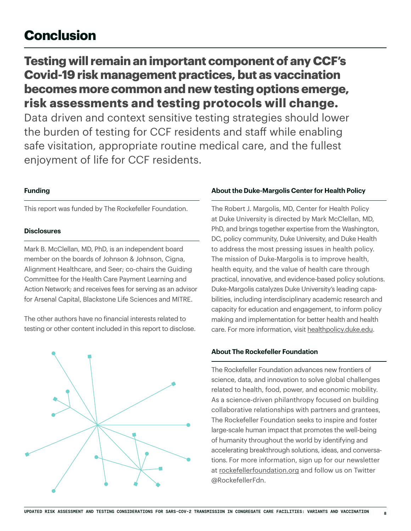## **Conclusion**

## **Testing will remain an important component of any CCF's Covid-19 risk management practices, but as vaccination becomes more common and new testing options emerge, risk assessments and testing protocols will change.**

Data driven and context sensitive testing strategies should lower the burden of testing for CCF residents and staff while enabling safe visitation, appropriate routine medical care, and the fullest enjoyment of life for CCF residents.

#### **Funding**

This report was funded by The Rockefeller Foundation.

#### **Disclosures**

Mark B. McClellan, MD, PhD, is an independent board member on the boards of Johnson & Johnson, Cigna, Alignment Healthcare, and Seer; co-chairs the Guiding Committee for the Health Care Payment Learning and Action Network; and receives fees for serving as an advisor for Arsenal Capital, Blackstone Life Sciences and MITRE.

The other authors have no financial interests related to testing or other content included in this report to disclose.



#### **About the Duke-Margolis Center for Health Policy**

The Robert J. Margolis, MD, Center for Health Policy at Duke University is directed by Mark McClellan, MD, PhD, and brings together expertise from the Washington, DC, policy community, Duke University, and Duke Health to address the most pressing issues in health policy. The mission of Duke-Margolis is to improve health, health equity, and the value of health care through practical, innovative, and evidence-based policy solutions. Duke-Margolis catalyzes Duke University's leading capabilities, including interdisciplinary academic research and capacity for education and engagement, to inform policy making and implementation for better health and health care. For more information, visit [healthpolicy.duke.edu.](https://healthpolicy.duke.edu/)

#### **About The Rockefeller Foundation**

The Rockefeller Foundation advances new frontiers of science, data, and innovation to solve global challenges related to health, food, power, and economic mobility. As a science-driven philanthropy focused on building collaborative relationships with partners and grantees, The Rockefeller Foundation seeks to inspire and foster large-scale human impact that promotes the well-being of humanity throughout the world by identifying and accelerating breakthrough solutions, ideas, and conversations. For more information, sign up for our newsletter at [rockefellerfoundation.org](https://www.rockefellerfoundation.org) and follow us on Twitter @RockefellerFdn.